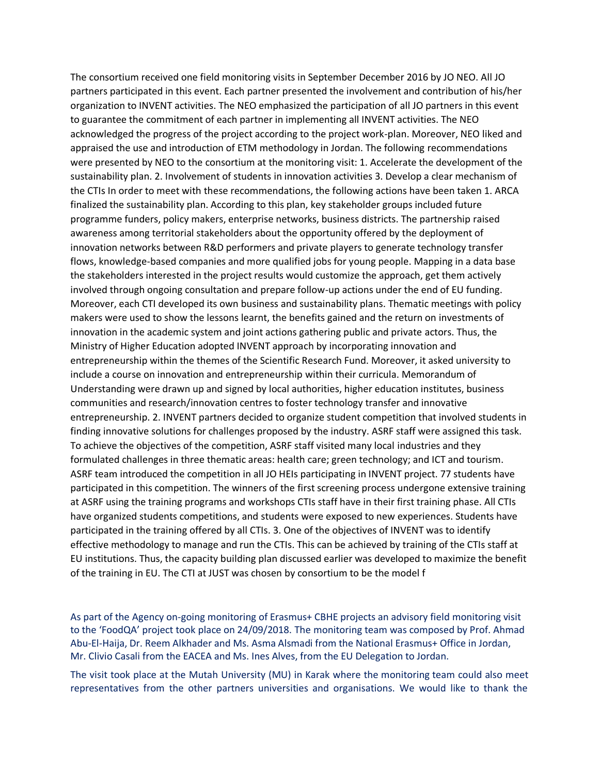The consortium received one field monitoring visits in September December 2016 by JO NEO. All JO partners participated in this event. Each partner presented the involvement and contribution of his/her organization to INVENT activities. The NEO emphasized the participation of all JO partners in this event to guarantee the commitment of each partner in implementing all INVENT activities. The NEO acknowledged the progress of the project according to the project work-plan. Moreover, NEO liked and appraised the use and introduction of ETM methodology in Jordan. The following recommendations were presented by NEO to the consortium at the monitoring visit: 1. Accelerate the development of the sustainability plan. 2. Involvement of students in innovation activities 3. Develop a clear mechanism of the CTIs In order to meet with these recommendations, the following actions have been taken 1. ARCA finalized the sustainability plan. According to this plan, key stakeholder groups included future programme funders, policy makers, enterprise networks, business districts. The partnership raised awareness among territorial stakeholders about the opportunity offered by the deployment of innovation networks between R&D performers and private players to generate technology transfer flows, knowledge-based companies and more qualified jobs for young people. Mapping in a data base the stakeholders interested in the project results would customize the approach, get them actively involved through ongoing consultation and prepare follow-up actions under the end of EU funding. Moreover, each CTI developed its own business and sustainability plans. Thematic meetings with policy makers were used to show the lessons learnt, the benefits gained and the return on investments of innovation in the academic system and joint actions gathering public and private actors. Thus, the Ministry of Higher Education adopted INVENT approach by incorporating innovation and entrepreneurship within the themes of the Scientific Research Fund. Moreover, it asked university to include a course on innovation and entrepreneurship within their curricula. Memorandum of Understanding were drawn up and signed by local authorities, higher education institutes, business communities and research/innovation centres to foster technology transfer and innovative entrepreneurship. 2. INVENT partners decided to organize student competition that involved students in finding innovative solutions for challenges proposed by the industry. ASRF staff were assigned this task. To achieve the objectives of the competition, ASRF staff visited many local industries and they formulated challenges in three thematic areas: health care; green technology; and ICT and tourism. ASRF team introduced the competition in all JO HEIs participating in INVENT project. 77 students have participated in this competition. The winners of the first screening process undergone extensive training at ASRF using the training programs and workshops CTIs staff have in their first training phase. All CTIs have organized students competitions, and students were exposed to new experiences. Students have participated in the training offered by all CTIs. 3. One of the objectives of INVENT was to identify effective methodology to manage and run the CTIs. This can be achieved by training of the CTIs staff at EU institutions. Thus, the capacity building plan discussed earlier was developed to maximize the benefit of the training in EU. The CTI at JUST was chosen by consortium to be the model f

As part of the Agency on-going monitoring of Erasmus+ CBHE projects an advisory field monitoring visit to the 'FoodQA' project took place on 24/09/2018. The monitoring team was composed by Prof. Ahmad Abu-El-Haija, Dr. Reem Alkhader and Ms. Asma Alsmadi from the National Erasmus+ Office in Jordan, Mr. Clivio Casali from the EACEA and Ms. Ines Alves, from the EU Delegation to Jordan.

The visit took place at the Mutah University (MU) in Karak where the monitoring team could also meet representatives from the other partners universities and organisations. We would like to thank the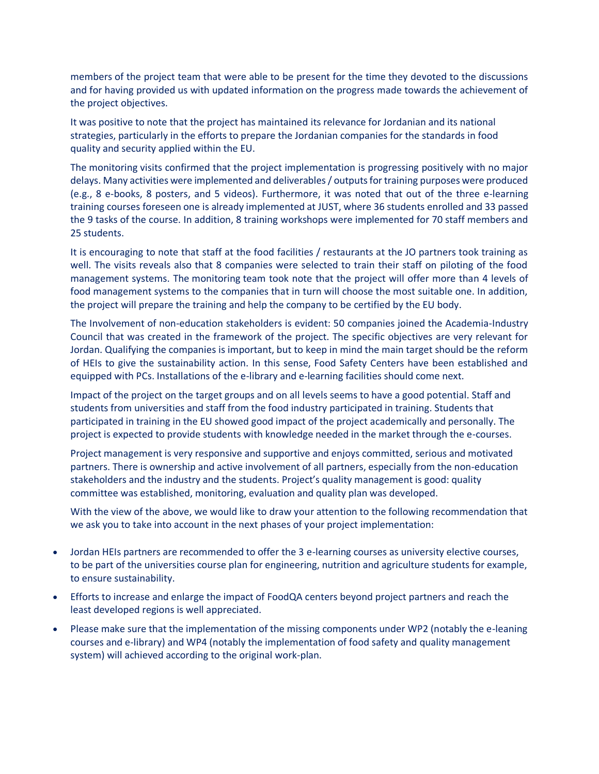members of the project team that were able to be present for the time they devoted to the discussions and for having provided us with updated information on the progress made towards the achievement of the project objectives.

It was positive to note that the project has maintained its relevance for Jordanian and its national strategies, particularly in the efforts to prepare the Jordanian companies for the standards in food quality and security applied within the EU.

The monitoring visits confirmed that the project implementation is progressing positively with no major delays. Many activities were implemented and deliverables / outputs for training purposes were produced (e.g., 8 e-books, 8 posters, and 5 videos). Furthermore, it was noted that out of the three e-learning training courses foreseen one is already implemented at JUST, where 36 students enrolled and 33 passed the 9 tasks of the course. In addition, 8 training workshops were implemented for 70 staff members and 25 students.

It is encouraging to note that staff at the food facilities / restaurants at the JO partners took training as well. The visits reveals also that 8 companies were selected to train their staff on piloting of the food management systems. The monitoring team took note that the project will offer more than 4 levels of food management systems to the companies that in turn will choose the most suitable one. In addition, the project will prepare the training and help the company to be certified by the EU body.

The Involvement of non-education stakeholders is evident: 50 companies joined the Academia-Industry Council that was created in the framework of the project. The specific objectives are very relevant for Jordan. Qualifying the companies is important, but to keep in mind the main target should be the reform of HEIs to give the sustainability action. In this sense, Food Safety Centers have been established and equipped with PCs. Installations of the e-library and e-learning facilities should come next.

Impact of the project on the target groups and on all levels seems to have a good potential. Staff and students from universities and staff from the food industry participated in training. Students that participated in training in the EU showed good impact of the project academically and personally. The project is expected to provide students with knowledge needed in the market through the e-courses.

Project management is very responsive and supportive and enjoys committed, serious and motivated partners. There is ownership and active involvement of all partners, especially from the non-education stakeholders and the industry and the students. Project's quality management is good: quality committee was established, monitoring, evaluation and quality plan was developed.

With the view of the above, we would like to draw your attention to the following recommendation that we ask you to take into account in the next phases of your project implementation:

- Jordan HEIs partners are recommended to offer the 3 e-learning courses as university elective courses, to be part of the universities course plan for engineering, nutrition and agriculture students for example, to ensure sustainability.
- Efforts to increase and enlarge the impact of FoodQA centers beyond project partners and reach the least developed regions is well appreciated.
- Please make sure that the implementation of the missing components under WP2 (notably the e-leaning courses and e-library) and WP4 (notably the implementation of food safety and quality management system) will achieved according to the original work-plan.